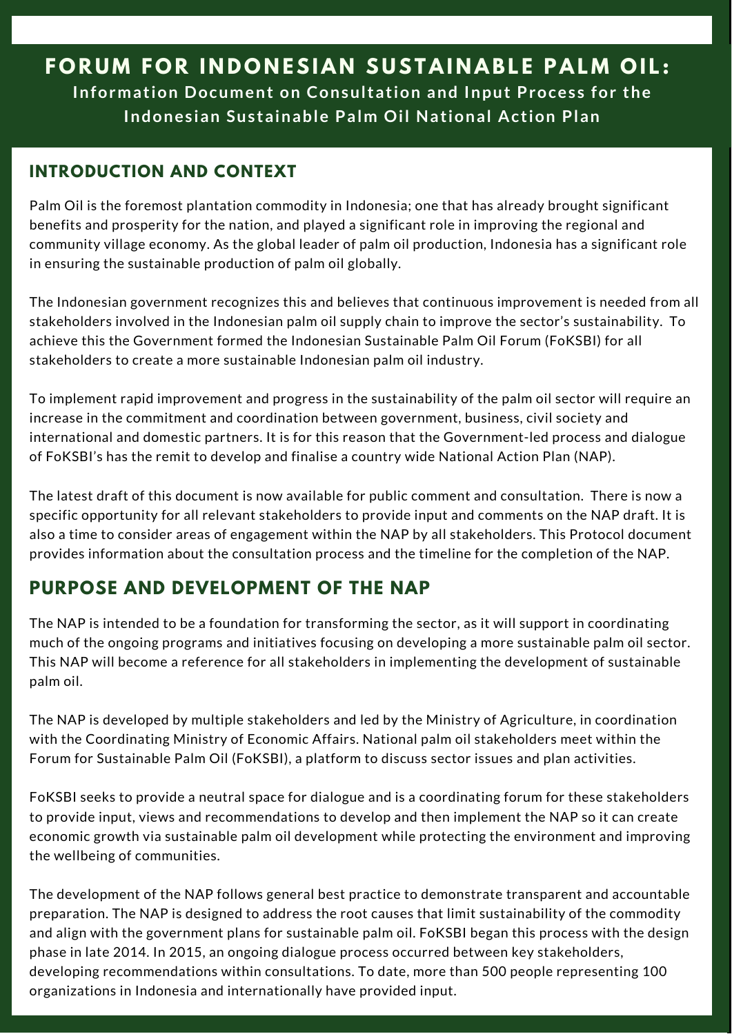# **FORUM FOR INDONESIAN SUSTAINABLE PALM OIL: Information Document on Consultation and Input Proces s for the Indones ian Sus tainable Palm Oil National Action Plan**

### **INTRODUCTION AND CONTEXT**

Palm Oil is the foremost plantation commodity in Indonesia; one that has already brought significant benefits and prosperity for the nation, and played a significant role in improving the regional and community village economy. As the global leader of palm oil production, Indonesia has a significant role in ensuring the sustainable production of palm oil globally.

The Indonesian government recognizes this and believes that continuous improvement is needed from all stakeholders involved in the Indonesian palm oil supply chain to improve the sector's sustainability. To achieve this the Government formed the Indonesian Sustainable Palm Oil Forum (FoKSBI) for all stakeholders to create a more sustainable Indonesian palm oil industry.

To implement rapid improvement and progress in the sustainability of the palm oil sector will require an increase in the commitment and coordination between government, business, civil society and international and domestic partners. It is for this reason that the Government-led process and dialogue of FoKSBI's has the remit to develop and finalise a country wide National Action Plan (NAP).

The latest draft of this document is now available for public comment and consultation. There is now a specific opportunity for all relevant stakeholders to provide input and comments on the NAP draft. It is also a time to consider areas of engagement within the NAP by all stakeholders. This Protocol document provides information about the consultation process and the timeline for the completion of the NAP.

# **PURPOSE AND DEVELOPMENT OF THE NAP**

The NAP is intended to be a foundation for transforming the sector, as it will support in coordinating much of the ongoing programs and initiatives focusing on developing a more sustainable palm oil sector. This NAP will become a reference for all stakeholders in implementing the development of sustainable palm oil.

The NAP is developed by multiple stakeholders and led by the Ministry of Agriculture, in coordination with the Coordinating Ministry of Economic Affairs. National palm oil stakeholders meet within the Forum for Sustainable Palm Oil (FoKSBI), a platform to discuss sector issues and plan activities.

FoKSBI seeks to provide a neutral space for dialogue and is a coordinating forum for these stakeholders to provide input, views and recommendations to develop and then implement the NAP so it can create economic growth via sustainable palm oil development while protecting the environment and improving the wellbeing of communities.

The development of the NAP follows general best practice to demonstrate transparent and accountable preparation. The NAP is designed to address the root causes that limit sustainability of the commodity and align with the government plans for sustainable palm oil. FoKSBI began this process with the design phase in late 2014. In 2015, an ongoing dialogue process occurred between key stakeholders, developing recommendations within consultations. To date, more than 500 people representing 100 organizations in Indonesia and internationally have provided input.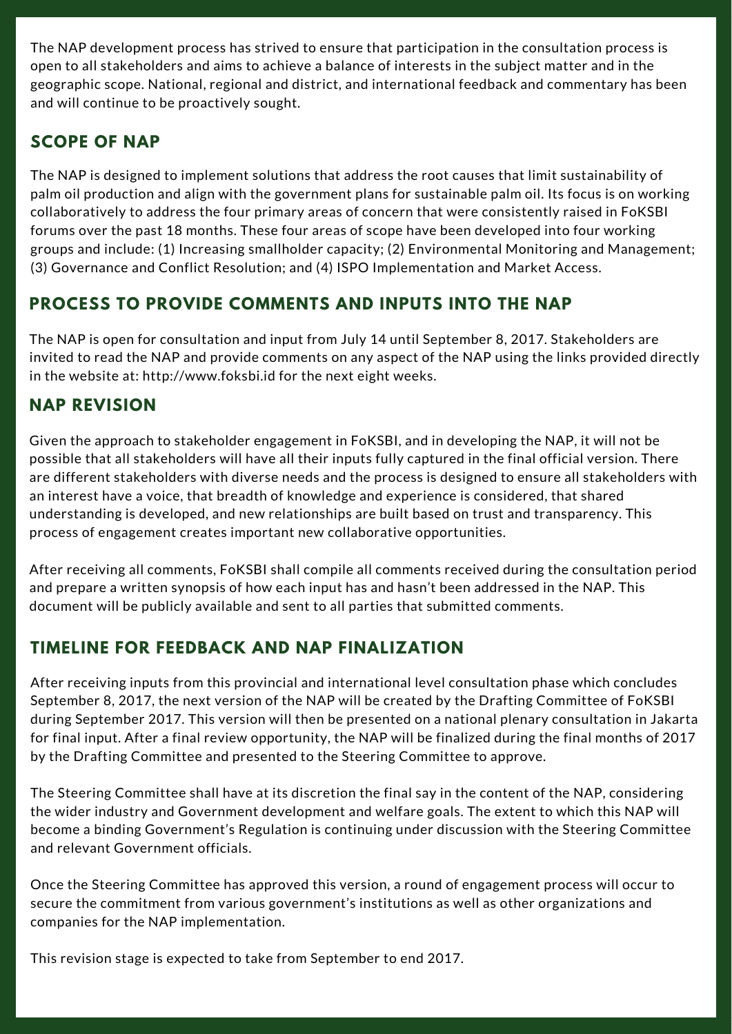The NAP development process has strived to ensure that participation in the consultation process is open to all stakeholders and aims to achieve a balance of interests in the subject matter and in the geographic scope. National, regional and district, and international feedback and commentary has been and will continue to be proactively sought.

#### **SCOPE OF NAP**

The NAP is designed to implement solutions that address the root causes that limit sustainability of palm oil production and align with the government plans for sustainable palm oil. Its focus is on working collaboratively to address the four primary areas of concern that were consistently raised in FoKSBI forums over the past 18 months. These four areas of scope have been developed into four working groups and include: (1) Increasing smallholder capacity; (2) Environmental Monitoring and Management; (3) Governance and Conflict Resolution; and (4) ISPO Implementation and Market Access.

# **PROCESS TO PROVIDE COMMENTS AND INPUTS INTO THE NAP**

The NAP is open for consultation and input from July 14 until September 8, 2017. Stakeholders are invited to read the NAP and provide comments on any aspect of the NAP using the links provided directly in the website at: http://www.foksbi.id for the next eight weeks.

#### **NAP REVISION**

Given the approach to stakeholder engagement in FoKSBI, and in developing the NAP, it will not be possible that all stakeholders will have all their inputs fully captured in the final official version. There are different stakeholders with diverse needs and the process is designed to ensure all stakeholders with an interest have a voice, that breadth of knowledge and experience is considered, that shared understanding is developed, and new relationships are built based on trust and transparency. This process of engagement creates important new collaborative opportunities.

After receiving all comments, FoKSBI shall compile all comments received during the consultation period and prepare a written synopsis of how each input has and hasn't been addressed in the NAP. This document will be publicly available and sent to all parties that submitted comments.

# **TIMELINE FOR FEEDBACK AND NAP FINALIZATION**

After receiving inputs from this provincial and international level consultation phase which concludes September 8, 2017, the next version of the NAP will be created by the Drafting Committee of FoKSBI during September 2017. This version will then be presented on a national plenary consultation in Jakarta for final input. After a final review opportunity, the NAP will be finalized during the final months of 2017 by the Drafting Committee and presented to the Steering Committee to approve.

The Steering Committee shall have at its discretion the final say in the content of the NAP, considering the wider industry and Government development and welfare goals. The extent to which this NAP will become a binding Government's Regulation is continuing under discussion with the Steering Committee and relevant Government officials.

Once the Steering Committee has approved this version, a round of engagement process will occur to secure the commitment from various government's institutions as well as other organizations and companies for the NAP implementation.

This revision stage is expected to take from September to end 2017.